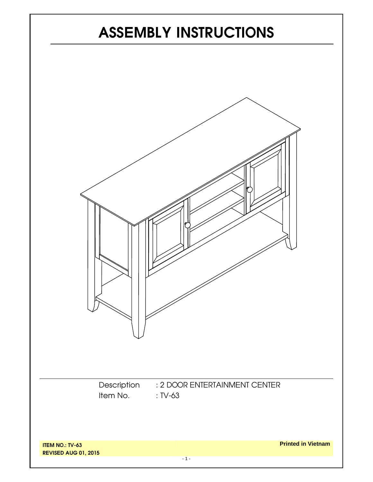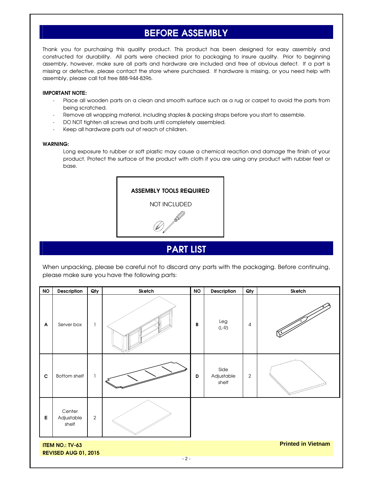## **BEFORE ASSEMBLY**

Thank you for purchasing this quality product. This product has been designed for easy assembly and constructed for durability. All parts were checked prior to packaging to insure quality. Prior to beginning assembly, however, make sure all parts and hardware are included and free of obvious defect. If a part is missing or defective, please contact the store where purchased. If hardware is missing, or you need help with assembly, please call toll free 888-944-8396.

#### **IMPORTANT NOTE:**

- Place all wooden parts on a clean and smooth surface such as a rug or carpet to avoid the parts from being scratched.
- Remove all wrapping material, including staples & packing straps before you start to assemble.
- DO NOT tighten all screws and bolts until completely assembled.
- Keep all hardware parts out of reach of children.

#### **WARNING:**

Long exposure to rubber or soft plastic may cause a chemical reaction and damage the finish of your product. Protect the surface of the product with cloth if you are using any product with rubber feet or base.



### **PART LIST**

When unpacking, please be careful not to discard any parts with the packaging. Before continuing, please make sure you have the following parts:

| <b>NO</b>                                                                          | Description                   | Qty          | Sketch | <b>NO</b> | Description                 | Qty            | Sketch |  |  |  |
|------------------------------------------------------------------------------------|-------------------------------|--------------|--------|-----------|-----------------------------|----------------|--------|--|--|--|
| A                                                                                  | Server box                    | 1            |        | B         | Leg<br>$(L-R)$              | $\overline{4}$ |        |  |  |  |
| $\mathbf c$                                                                        | <b>Bottom shelf</b>           | $\mathbf{1}$ |        | D         | Side<br>Adjustable<br>shelf | $\sqrt{2}$     |        |  |  |  |
| $\mathsf E$                                                                        | Center<br>Adjustable<br>shelf | $\sqrt{2}$   |        |           |                             |                |        |  |  |  |
| <b>Printed in Vietnam</b><br><b>ITEM NO.: TV-63</b><br><b>REVISED AUG 01, 2015</b> |                               |              |        |           |                             |                |        |  |  |  |
| $-2-$                                                                              |                               |              |        |           |                             |                |        |  |  |  |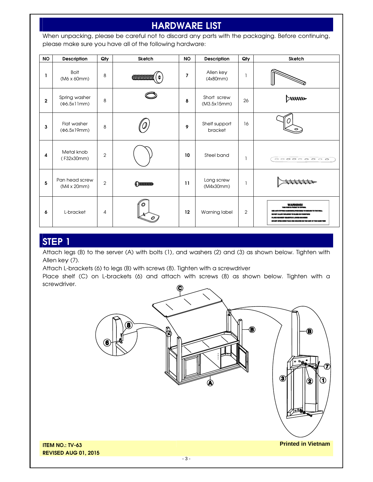# **HARDWARE LIST**

When unpacking, please be careful not to discard any parts with the packaging. Before continuing, please make sure you have all of the following hardware:

| <b>NO</b>      | Description                              | Qty            | <b>Sketch</b>   | <b>NO</b> | Description                | Qty | <b>Sketch</b>                                    |
|----------------|------------------------------------------|----------------|-----------------|-----------|----------------------------|-----|--------------------------------------------------|
| L              | <b>Bolt</b><br>(M6 x 60mm)               | 8              | <b>COMMONOM</b> | 7         | Allen key<br>(4x80mm)      |     |                                                  |
| $\overline{2}$ | Spring washer<br>(Φ6.5x11mm)             | 8              |                 | 8         | Short screw<br>(M3.5x15mm) | 26  |                                                  |
| 3              | Flat washer<br>( $\Phi$ 6.5x19mm)        | 8              |                 | 9         | Shelf support<br>bracket   | 16  |                                                  |
| 4              | Metal knob<br>(F32x30mm)                 | $\overline{2}$ |                 | 10        | Steel band                 |     | $\overline{\circ\circ\circ\circ\circ\circ\circ}$ |
| 5              | Pan head screw<br>$(M4 \times 20$ mm $)$ | $\overline{2}$ | (DESERVENTIS    | 11        | Long screw<br>(M4x30mm)    |     |                                                  |
| 6              | L-bracket                                | 4              |                 | 12        | Warning label              | 2   |                                                  |

### **STEP 1**

Attach legs (B) to the server (A) with bolts (1), and washers (2) and (3) as shown below. Tighten with Allen key (7).

Attach L-brackets (6) to legs (B) with screws (8). Tighten with a screwdriver

Place shelf (C) on L-brackets (6) and attach with screws (8) as shown below. Tighten with a screwdriver.